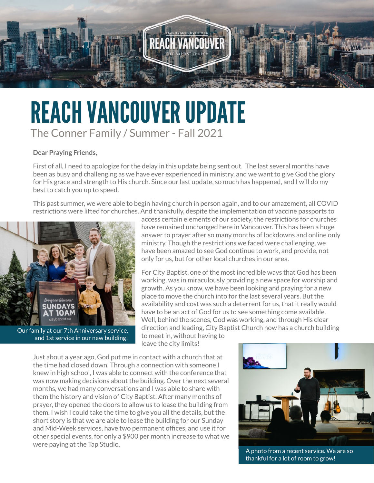

## REACH VANCOUVER UPDATE The Conner Family / Summer - Fall 2021

## **Dear Praying Friends,**

First of all, I need to apologize for the delay in this update being sent out. The last several months have been as busy and challenging as we have ever experienced in ministry, and we want to give God the glory for His grace and strength to His church. Since our last update, so much has happened, and I will do my best to catch you up to speed.

This past summer, we were able to begin having church in person again, and to our amazement, all COVID restrictions were lifted for churches. And thankfully, despite the implementation of vaccine passports to



Our family at our 7th Anniversary service, and 1st service in our new building!

access certain elements of our society, the restrictions for churches have remained unchanged here in Vancouver. This has been a huge answer to prayer after so many months of lockdowns and online only ministry. Though the restrictions we faced were challenging, we have been amazed to see God continue to work, and provide, not only for us, but for other local churches in our area.

For City Baptist, one of the most incredible ways that God has been working, was in miraculously providing a new space for worship and growth. As you know, we have been looking and praying for a new place to move the church into for the last several years. But the availability and cost was such a deterrent for us, that it really would have to be an act of God for us to see something come available. Well, behind the scenes, God was working, and through His clear direction and leading, City Baptist Church now has a church building

to meet in, without having to leave the city limits!

Just about a year ago, God put me in contact with a church that at the time had closed down. Through a connection with someone I knew in high school, I was able to connect with the conference that was now making decisions about the building. Over the next several months, we had many conversations and I was able to share with them the history and vision of City Baptist. After many months of prayer, they opened the doors to allow us to lease the building from them. I wish I could take the time to give you all the details, but the short story is that we are able to lease the building for our Sunday and Mid-Week services, have two permanent offices, and use it for other special events, for only a \$900 per month increase to what we were paying at the Tap Studio.



A photo from a recent service. We are so thankful for a lot of room to grow!